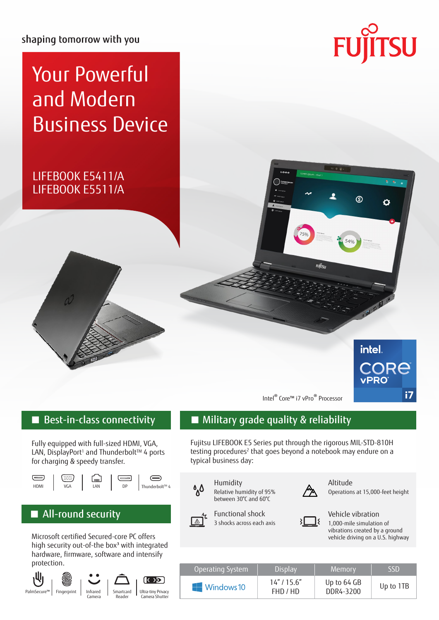shaping tomorrow with you

# Your Powerful and Modern Business Device

# LIFEBOOK E5411/A LIFEBOOK E5511/A



௵

Ó



Intel® Core™ i7 vPro® Processor

FUITS

Fully equipped with full-sized HDMI, VGA, LAN, DisplayPort<sup>1</sup> and Thunderbolt™ 4 ports for charging & speedy transfer.



## ■ All-round security

Microsoft certified Secured-core PC offers high security out-of-the box<sup>3</sup> with integrated hardware, firmware, software and intensify protection.



## Best-in-class connectivity ■ Military grade quality & reliability

Fujitsu LIFEBOOK E5 Series put through the rigorous MIL-STD-810H testing procedures<sup>2</sup> that goes beyond a notebook may endure on a typical business day:



Relative humidity of 95% between 30°C and 60°C



Altitude

Operations at 15,000-feet height



Functional shock



Vehicle vibration

1,000-mile simulation of vibrations created by a ground vehicle driving on a U.S. highway

| Operating System          | <b>Display</b>          | Memory                   | <b>SSD</b> |
|---------------------------|-------------------------|--------------------------|------------|
| $\blacksquare$ Windows 10 | 14''/15.6''<br>FHD / HD | Up to 64 GB<br>DDR4-3200 | Up to 1TB  |